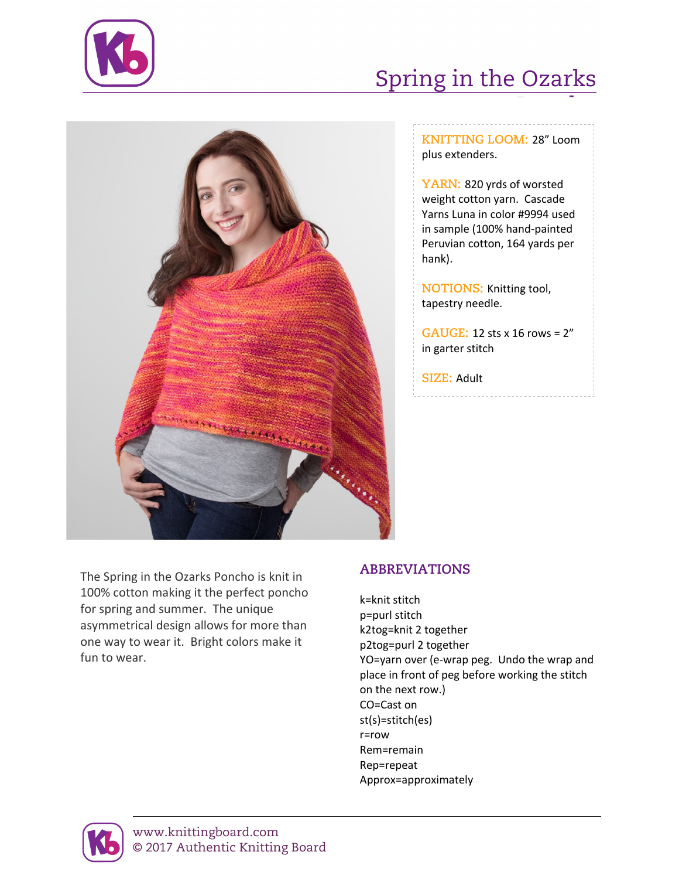

## Spring in the Ozarks



**KNITTING LOOM:** 28" Loom plus extenders.

Poncho

**YARN:** 820 yrds of worsted weight cotton yarn. Cascade Yarns Luna in color #9994 used in sample (100% hand-painted Peruvian cotton, 164 yards per hank).

**NOTIONS:** Knitting tool, tapestry needle.

**GAUGE:** 12 sts x 16 rows = 2" in garter stitch

**SIZE:** Adult

The Spring in the Ozarks Poncho is knit in 100% cotton making it the perfect poncho for spring and summer. The unique asymmetrical design allows for more than one way to wear it. Bright colors make it fun to wear.

## **ABBREVIATIONS**

k=knit stitch p=purl stitch k2tog=knit 2 together p2tog=purl 2 together YO=yarn over (e-wrap peg. Undo the wrap and place in front of peg before working the stitch on the next row.) CO=Cast on st(s)=stitch(es) r=row Rem=remain Rep=repeat Approx=approximately



www.knittingboard.com © 2017 Authentic Knitting Board